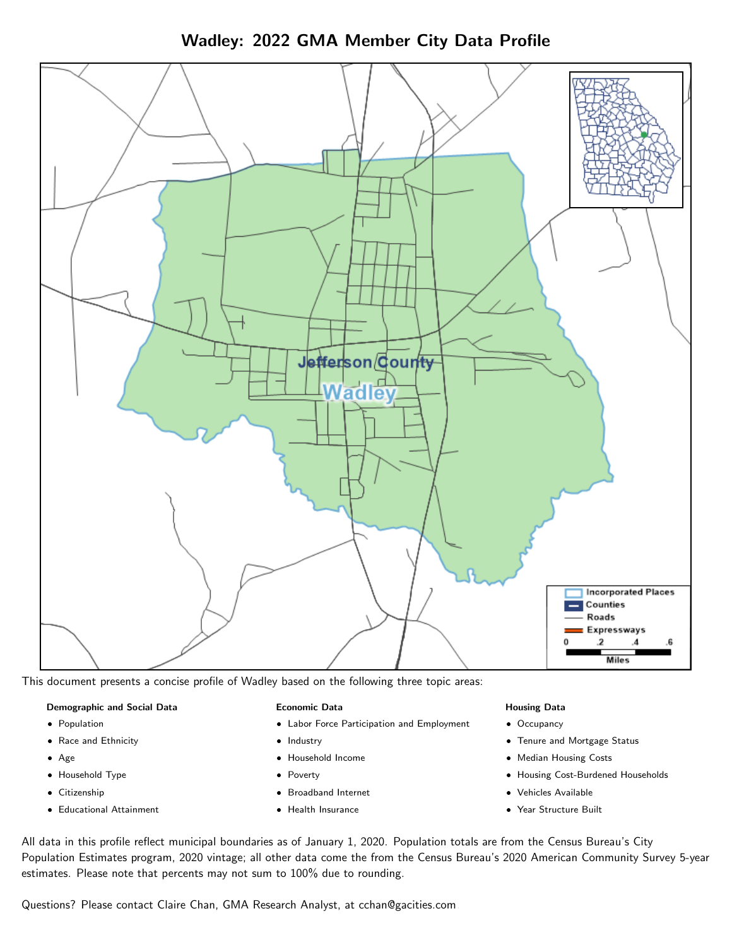



This document presents a concise profile of Wadley based on the following three topic areas:

## Demographic and Social Data

- **•** Population
- Race and Ethnicity
- Age
- Household Type
- **Citizenship**
- Educational Attainment

## Economic Data

- Labor Force Participation and Employment
- Industry
- Household Income
- Poverty
- Broadband Internet
- Health Insurance

## Housing Data

- Occupancy
- Tenure and Mortgage Status
- Median Housing Costs
- Housing Cost-Burdened Households
- Vehicles Available
- Year Structure Built

All data in this profile reflect municipal boundaries as of January 1, 2020. Population totals are from the Census Bureau's City Population Estimates program, 2020 vintage; all other data come the from the Census Bureau's 2020 American Community Survey 5-year estimates. Please note that percents may not sum to 100% due to rounding.

Questions? Please contact Claire Chan, GMA Research Analyst, at [cchan@gacities.com.](mailto:cchan@gacities.com)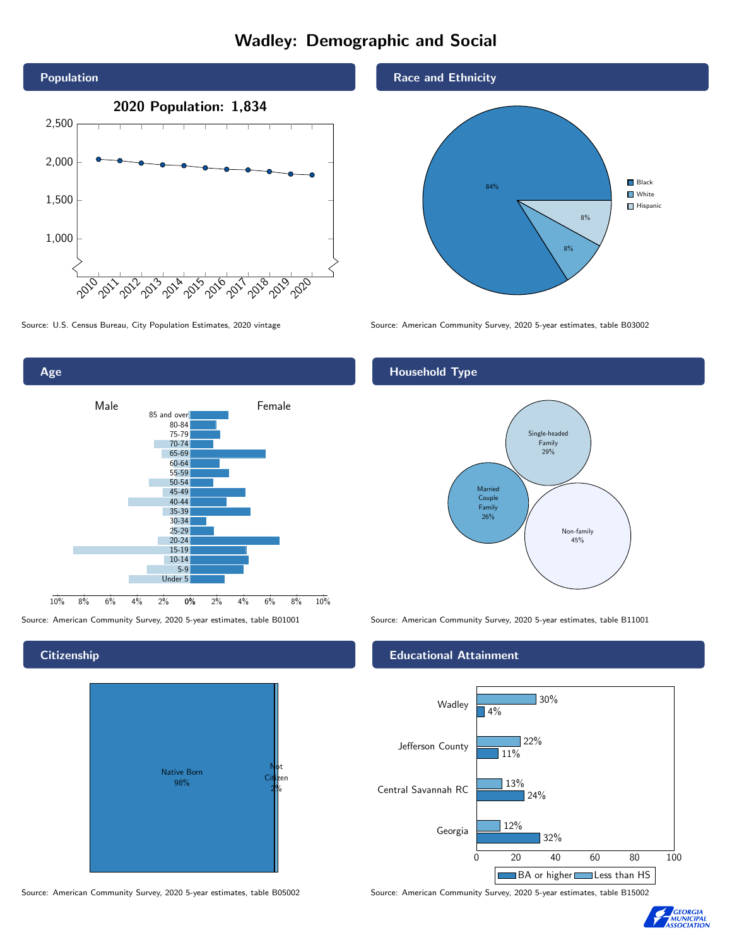# Wadley: Demographic and Social





## **Citizenship**



Source: American Community Survey, 2020 5-year estimates, table B05002 Source: American Community Survey, 2020 5-year estimates, table B15002





Source: U.S. Census Bureau, City Population Estimates, 2020 vintage Source: American Community Survey, 2020 5-year estimates, table B03002

## Household Type



Source: American Community Survey, 2020 5-year estimates, table B01001 Source: American Community Survey, 2020 5-year estimates, table B11001

## Educational Attainment



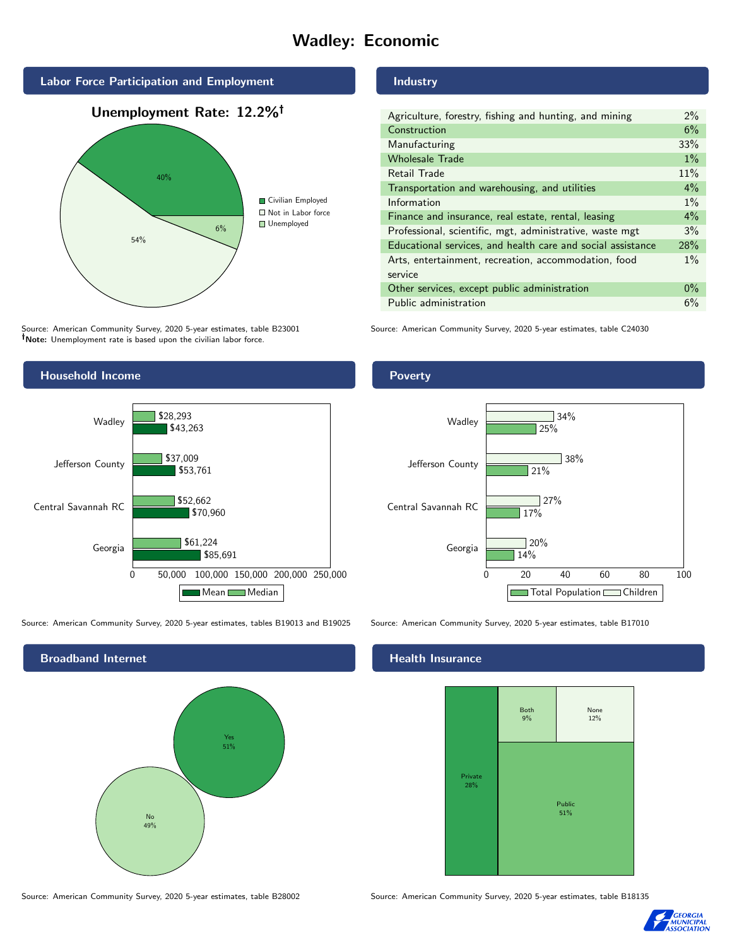# Wadley: Economic



Source: American Community Survey, 2020 5-year estimates, table B23001 Note: Unemployment rate is based upon the civilian labor force.

## Industry

| Agriculture, forestry, fishing and hunting, and mining      | 2%    |
|-------------------------------------------------------------|-------|
| Construction                                                | 6%    |
| Manufacturing                                               | 33%   |
| <b>Wholesale Trade</b>                                      | $1\%$ |
| Retail Trade                                                | 11%   |
| Transportation and warehousing, and utilities               | 4%    |
| Information                                                 | $1\%$ |
| Finance and insurance, real estate, rental, leasing         | $4\%$ |
| Professional, scientific, mgt, administrative, waste mgt    | 3%    |
| Educational services, and health care and social assistance | 28%   |
| Arts, entertainment, recreation, accommodation, food        | $1\%$ |
| service                                                     |       |
| Other services, except public administration                | $0\%$ |
| Public administration                                       | 6%    |

Source: American Community Survey, 2020 5-year estimates, table C24030



Source: American Community Survey, 2020 5-year estimates, tables B19013 and B19025 Source: American Community Survey, 2020 5-year estimates, table B17010

Broadband Internet No 49% Yes 51%

Poverty



## Health Insurance



Source: American Community Survey, 2020 5-year estimates, table B28002 Source: American Community Survey, 2020 5-year estimates, table B18135